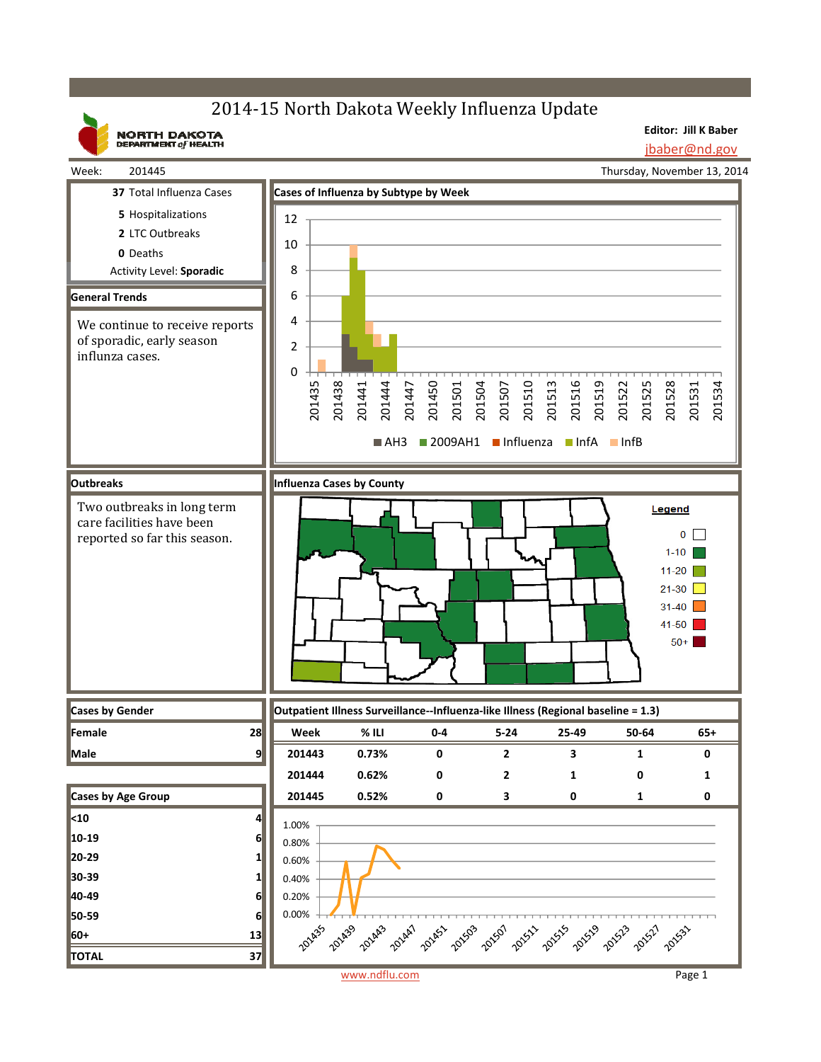# 2014-15 North Dakota Weekly Influenza Update

**NORTH DAKOTA**<br>DEPARTMENT of HEALTH

**Editor: Jill K Baber** jbaber@nd.gov